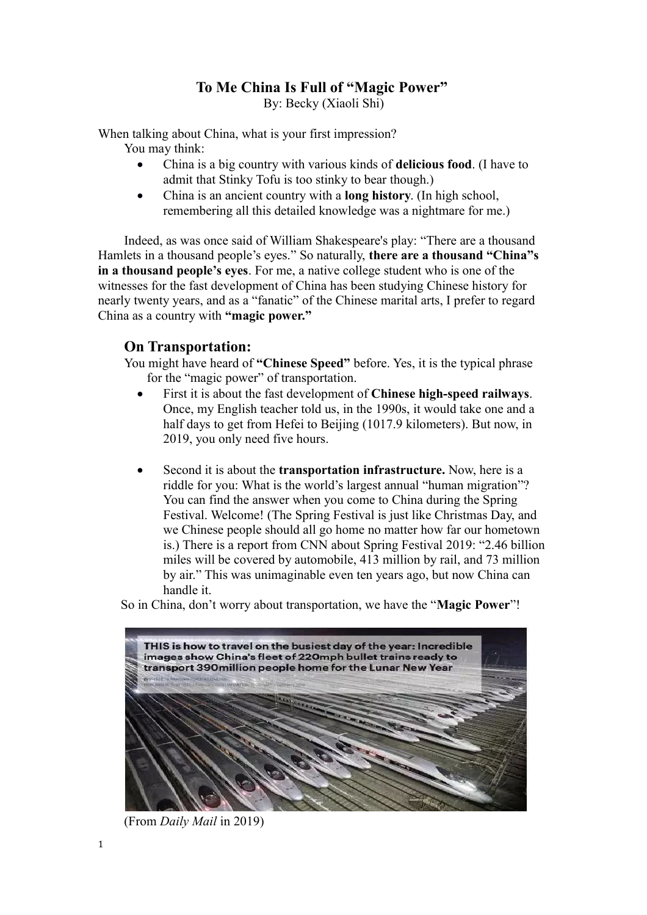## **To Me China Is Full of "Magic Power"**

By: Becky (Xiaoli Shi)

When talking about China, what is your first impression? You may think:

- China is a big country with various kinds of **delicious food**. (I have to admit that Stinky Tofu is too stinky to bear though.)
- China is an ancient country with a **long history**. (In high school, remembering all this detailed knowledge was a nightmare for me.)

Indeed, as was once said of William Shakespeare's play: "There are a thousand Hamlets in a thousand people's eyes." So naturally, **there are a thousand "China"s in a thousand people's eyes**. For me, a native college student who is one of the witnesses for the fast development of China has been studying Chinese history for nearly twenty years, and as a "fanatic" of the Chinese marital arts, I prefer to regard China as a country with **"magic power."**

## **On Transportation:**

You might have heard of **"Chinese Speed"** before. Yes, it is the typical phrase for the "magic power" of transportation.

- First it is about the fast development of **Chinese high-speed railways**. Once, my English teacher told us, in the 1990s, it would take one and a half days to get from Hefei to Beijing (1017.9 kilometers). But now, in 2019, you only need five hours.
- Second it is about the **transportation infrastructure.** Now, here is a riddle for you: What is the world's largest annual "human migration"? You can find the answer when you come to China during the Spring Festival. Welcome! (The Spring Festival is just like Christmas Day, and we Chinese people should all go home no matter how far our hometown is.) There is a report from CNN about Spring Festival 2019: "2.46 billion miles will be covered by automobile, 413 million by rail, and 73 million by air." This was unimaginable even ten years ago, but now China can handle it.

So in China, don't worry about transportation, we have the "**Magic Power**"!



(From *Daily Mail* in 2019)